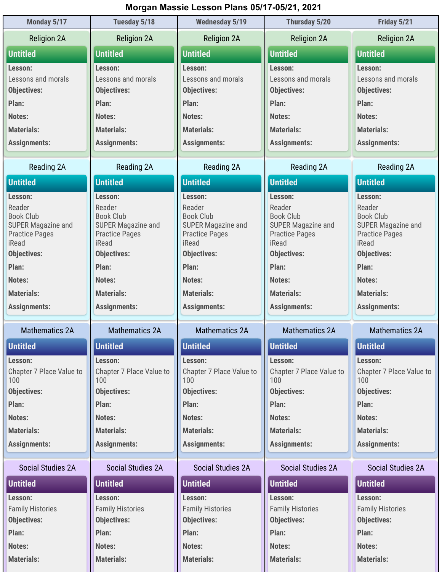## Morgan Massie Lesson Plans 05/17-05/21, 2021

| Monday 5/17                            | Tuesday 5/18                                  | <b>Wednesday 5/19</b>                         | Thursday 5/20                                 | Friday 5/21                                   |
|----------------------------------------|-----------------------------------------------|-----------------------------------------------|-----------------------------------------------|-----------------------------------------------|
| <b>Religion 2A</b>                     | <b>Religion 2A</b>                            | <b>Religion 2A</b>                            | <b>Religion 2A</b>                            | <b>Religion 2A</b>                            |
| <b>Untitled</b>                        | <b>Untitled</b>                               | <b>Untitled</b>                               | <b>Untitled</b>                               | <b>Untitled</b>                               |
| Lesson:                                | Lesson:                                       | Lesson:                                       | Lesson:                                       | Lesson:                                       |
| Lessons and morals                     | Lessons and morals                            | Lessons and morals                            | Lessons and morals                            | Lessons and morals                            |
| <b>Objectives:</b>                     | <b>Objectives:</b>                            | <b>Objectives:</b>                            | <b>Objectives:</b>                            | <b>Objectives:</b>                            |
| Plan:                                  | Plan:                                         | Plan:                                         | Plan:                                         | Plan:                                         |
| Notes:                                 | Notes:                                        | Notes:                                        | Notes:                                        | Notes:                                        |
| <b>Materials:</b>                      | <b>Materials:</b>                             | <b>Materials:</b>                             | <b>Materials:</b>                             | <b>Materials:</b>                             |
| <b>Assignments:</b>                    | <b>Assignments:</b>                           | <b>Assignments:</b>                           | <b>Assignments:</b>                           | <b>Assignments:</b>                           |
| Reading 2A                             | Reading 2A                                    | <b>Reading 2A</b>                             | Reading 2A                                    | Reading 2A                                    |
| <b>Untitled</b>                        | <b>Untitled</b>                               | <b>Untitled</b>                               | <b>Untitled</b>                               | <b>Untitled</b>                               |
| Lesson:                                | Lesson:                                       | Lesson:                                       | Lesson:                                       | Lesson:                                       |
| Reader                                 | Reader                                        | Reader                                        | Reader                                        | Reader                                        |
| <b>Book Club</b><br>SUPER Magazine and | <b>Book Club</b><br><b>SUPER Magazine and</b> | <b>Book Club</b><br><b>SUPER Magazine and</b> | <b>Book Club</b><br><b>SUPER Magazine and</b> | <b>Book Club</b><br><b>SUPER Magazine and</b> |
| <b>Practice Pages</b>                  | <b>Practice Pages</b>                         | <b>Practice Pages</b>                         | <b>Practice Pages</b>                         | <b>Practice Pages</b>                         |
| iRead                                  | iRead                                         | iRead                                         | iRead                                         | iRead                                         |
| <b>Objectives:</b>                     | <b>Objectives:</b>                            | <b>Objectives:</b>                            | <b>Objectives:</b>                            | <b>Objectives:</b>                            |
| Plan:                                  | Plan:                                         | Plan:                                         | Plan:                                         | Plan:                                         |
| Notes:                                 | Notes:                                        | Notes:                                        | Notes:                                        | Notes:                                        |
| <b>Materials:</b>                      | <b>Materials:</b>                             | <b>Materials:</b>                             | <b>Materials:</b>                             | <b>Materials:</b>                             |
| <b>Assignments:</b>                    | <b>Assignments:</b>                           | <b>Assignments:</b>                           | <b>Assignments:</b>                           | <b>Assignments:</b>                           |
| <b>Mathematics 2A</b>                  | <b>Mathematics 2A</b>                         | <b>Mathematics 2A</b>                         | <b>Mathematics 2A</b>                         | <b>Mathematics 2A</b>                         |
| <b>Untitled</b>                        | <b>Untitled</b>                               | <b>Untitled</b>                               | <b>Untitled</b>                               | <b>Untitled</b>                               |
| Lesson:                                | Lesson:                                       | Lesson:                                       | Lesson:                                       | Lesson:                                       |
| Chapter 7 Place Value to               | Chapter 7 Place Value to                      | Chapter 7 Place Value to                      | Chapter 7 Place Value to                      | Chapter 7 Place Value to                      |
| 100<br><b>Objectives:</b>              | 100<br><b>Objectives:</b>                     | 100<br><b>Objectives:</b>                     | 100<br><b>Objectives:</b>                     | 100<br><b>Objectives:</b>                     |
| Plan:                                  | Plan:                                         | Plan:                                         | Plan:                                         | Plan:                                         |
| Notes:                                 | Notes:                                        | Notes:                                        | Notes:                                        | Notes:                                        |
| <b>Materials:</b>                      | <b>Materials:</b>                             | <b>Materials:</b>                             | <b>Materials:</b>                             | <b>Materials:</b>                             |
| <b>Assignments:</b>                    | <b>Assignments:</b>                           | <b>Assignments:</b>                           | <b>Assignments:</b>                           | <b>Assignments:</b>                           |
|                                        |                                               |                                               |                                               |                                               |
| <b>Social Studies 2A</b>               | <b>Social Studies 2A</b>                      | <b>Social Studies 2A</b>                      | <b>Social Studies 2A</b>                      | <b>Social Studies 2A</b>                      |
| <b>Untitled</b>                        | <b>Untitled</b>                               | <b>Untitled</b>                               | <b>Untitled</b>                               | <b>Untitled</b>                               |
| Lesson:                                | Lesson:                                       | Lesson:                                       | Lesson:                                       | Lesson:                                       |
| <b>Family Histories</b>                |                                               | <b>Family Histories</b>                       | <b>Family Histories</b>                       | <b>Family Histories</b>                       |
|                                        | <b>Family Histories</b>                       |                                               |                                               |                                               |
| <b>Objectives:</b>                     | <b>Objectives:</b>                            | <b>Objectives:</b>                            | <b>Objectives:</b>                            | <b>Objectives:</b>                            |
| Plan:                                  | Plan:                                         | Plan:                                         | Plan:                                         | Plan:                                         |
| Notes:                                 | Notes:                                        | Notes:                                        | Notes:                                        | Notes:                                        |
| <b>Materials:</b>                      | <b>Materials:</b>                             | <b>Materials:</b>                             | <b>Materials:</b>                             | <b>Materials:</b>                             |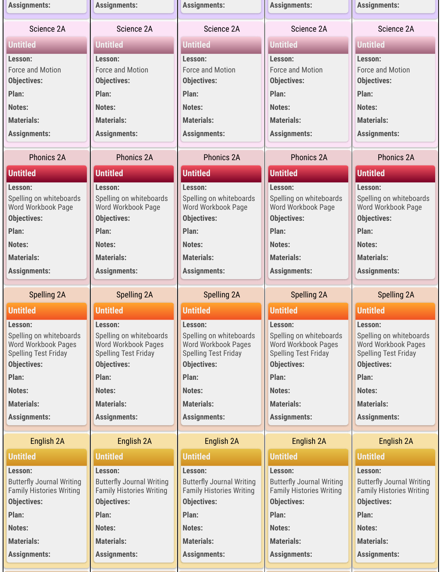| <b>Assignments:</b>                               | <b>Assignments:</b>                               | <b>Assignments:</b>                               | <b>Assignments:</b>                               | <b>Assignments:</b>                               |
|---------------------------------------------------|---------------------------------------------------|---------------------------------------------------|---------------------------------------------------|---------------------------------------------------|
| Science 2A                                        | Science 2A                                        | Science 2A                                        | Science 2A                                        | Science 2A                                        |
| <b>Untitled</b>                                   | <b>Untitled</b>                                   | <b>Untitled</b>                                   | <b>Untitled</b>                                   | <b>Untitled</b>                                   |
| Lesson:                                           | Lesson:                                           | Lesson:                                           | Lesson:                                           | Lesson:                                           |
| <b>Force and Motion</b>                           | <b>Force and Motion</b>                           | <b>Force and Motion</b>                           | <b>Force and Motion</b>                           | Force and Motion                                  |
| <b>Objectives:</b>                                | <b>Objectives:</b>                                | <b>Objectives:</b>                                | <b>Objectives:</b>                                | <b>Objectives:</b>                                |
| Plan:                                             | Plan:                                             | Plan:                                             | Plan:                                             | Plan:                                             |
| Notes:                                            | Notes:                                            | Notes:                                            | Notes:                                            | Notes:                                            |
| <b>Materials:</b>                                 | <b>Materials:</b>                                 | <b>Materials:</b>                                 | <b>Materials:</b>                                 | <b>Materials:</b>                                 |
| <b>Assignments:</b>                               | <b>Assignments:</b>                               | <b>Assignments:</b>                               | <b>Assignments:</b>                               | <b>Assignments:</b>                               |
| <b>Phonics 2A</b>                                 | <b>Phonics 2A</b>                                 | Phonics 2A                                        | Phonics 2A                                        | <b>Phonics 2A</b>                                 |
| <b>Untitled</b>                                   | <b>Untitled</b>                                   | <b>Untitled</b>                                   | <b>Untitled</b>                                   | <b>Untitled</b>                                   |
| Lesson:                                           | Lesson:                                           | Lesson:                                           | Lesson:                                           | Lesson:                                           |
| Spelling on whiteboards                           | Spelling on whiteboards                           | Spelling on whiteboards                           | Spelling on whiteboards                           | Spelling on whiteboards                           |
| Word Workbook Page<br><b>Objectives:</b>          | Word Workbook Page<br><b>Objectives:</b>          | Word Workbook Page<br><b>Objectives:</b>          | Word Workbook Page<br><b>Objectives:</b>          | Word Workbook Page<br><b>Objectives:</b>          |
| Plan:                                             | Plan:                                             | Plan:                                             | Plan:                                             | Plan:                                             |
| Notes:                                            |                                                   |                                                   | Notes:                                            | Notes:                                            |
| <b>Materials:</b>                                 | Notes:                                            | Notes:                                            | <b>Materials:</b>                                 |                                                   |
|                                                   | <b>Materials:</b>                                 | <b>Materials:</b>                                 |                                                   | <b>Materials:</b>                                 |
| <b>Assignments:</b>                               | <b>Assignments:</b>                               | <b>Assignments:</b>                               | <b>Assignments:</b>                               | <b>Assignments:</b>                               |
| <b>Spelling 2A</b>                                | Spelling 2A                                       | <b>Spelling 2A</b>                                | <b>Spelling 2A</b>                                |                                                   |
|                                                   |                                                   |                                                   |                                                   | <b>Spelling 2A</b>                                |
| <b>Untitled</b>                                   | <b>Untitled</b>                                   | <b>Untitled</b>                                   | <b>Untitled</b>                                   | <b>Untitled</b>                                   |
| Lesson:                                           | Lesson:                                           | Lesson:                                           | Lesson:                                           | Lesson:                                           |
| Spelling on whiteboards                           | Spelling on whiteboards                           | Spelling on whiteboards                           | Spelling on whiteboards                           | Spelling on whiteboards                           |
| <b>Word Workbook Pages</b>                        | <b>Word Workbook Pages</b>                        | Word Workbook Pages                               | Word Workbook Pages                               | Word Workbook Pages                               |
| <b>Spelling Test Friday</b><br><b>Objectives:</b> | <b>Spelling Test Friday</b><br><b>Objectives:</b> | <b>Spelling Test Friday</b><br><b>Objectives:</b> | <b>Spelling Test Friday</b><br><b>Objectives:</b> | <b>Spelling Test Friday</b><br><b>Objectives:</b> |
| Plan:                                             | Plan:                                             | Plan:                                             | Plan:                                             | Plan:                                             |
| Notes:                                            | Notes:                                            | Notes:                                            | Notes:                                            | <b>Notes:</b>                                     |
| <b>Materials:</b>                                 | <b>Materials:</b>                                 | <b>Materials:</b>                                 | <b>Materials:</b>                                 | <b>Materials:</b>                                 |
| <b>Assignments:</b>                               | <b>Assignments:</b>                               | <b>Assignments:</b>                               | <b>Assignments:</b>                               | <b>Assignments:</b>                               |
| English 2A                                        | English 2A                                        | English 2A                                        | English 2A                                        | English 2A                                        |
| <b>Untitled</b>                                   | <b>Untitled</b>                                   | <b>Untitled</b>                                   | <b>Untitled</b>                                   | <b>Untitled</b>                                   |
| Lesson:                                           | Lesson:                                           | Lesson:                                           | Lesson:                                           | Lesson:                                           |
| <b>Butterfly Journal Writing</b>                  | <b>Butterfly Journal Writing</b>                  | <b>Butterfly Journal Writing</b>                  | <b>Butterfly Journal Writing</b>                  | <b>Butterfly Journal Writing</b>                  |
| <b>Family Histories Writing</b>                   | <b>Family Histories Writing</b>                   | <b>Family Histories Writing</b>                   | <b>Family Histories Writing</b>                   | <b>Family Histories Writing</b>                   |
| <b>Objectives:</b>                                | <b>Objectives:</b>                                | <b>Objectives:</b>                                | <b>Objectives:</b>                                | <b>Objectives:</b>                                |
| Plan:                                             | Plan:                                             | Plan:                                             | Plan:                                             | Plan:                                             |
| <b>Notes:</b>                                     | Notes:                                            | Notes:                                            | Notes:                                            | <b>Notes:</b>                                     |
| <b>Materials:</b>                                 | <b>Materials:</b>                                 | <b>Materials:</b>                                 | <b>Materials:</b>                                 | <b>Materials:</b>                                 |
| <b>Assignments:</b>                               | <b>Assignments:</b>                               | <b>Assignments:</b>                               | <b>Assignments:</b>                               | <b>Assignments:</b>                               |